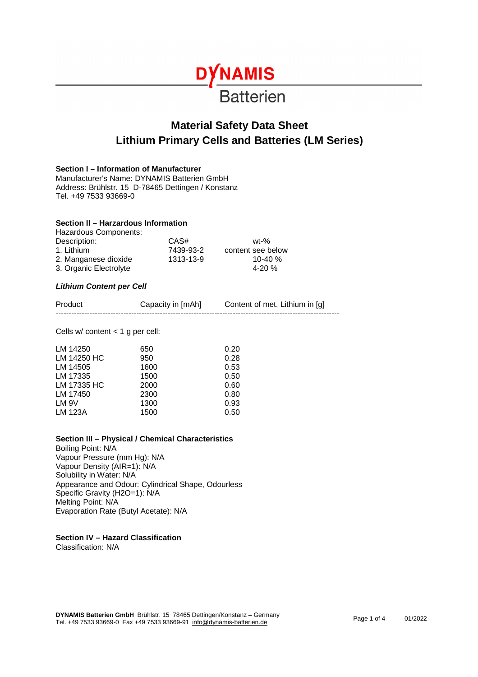

# **Material Safety Data Sheet Lithium Primary Cells and Batteries (LM Series)**

#### **Section I – Information of Manufacturer**

Manufacturer's Name: DYNAMIS Batterien GmbH Address: Brühlstr. 15 D-78465 Dettingen / Konstanz Tel. +49 7533 93669-0

#### **Section II – Harzardous Information**

| Hazardous Components:  |           |                   |
|------------------------|-----------|-------------------|
| Description:           | CAS#      | $wt-%$            |
| 1. Lithium             | 7439-93-2 | content see below |
| 2. Manganese dioxide   | 1313-13-9 | 10-40 $%$         |
| 3. Organic Electrolyte |           | 4-20 $%$          |

#### *Lithium Content per Cell*

| Product | Capacity in [mAh] | Content of met. Lithium in [g] |
|---------|-------------------|--------------------------------|
| ----    |                   |                                |

Cells w/ content < 1 g per cell:

| LM 14250    | 650  | 0.20 |
|-------------|------|------|
| LM 14250 HC | 950  | 0.28 |
| LM 14505    | 1600 | 0.53 |
| LM 17335    | 1500 | 0.50 |
| LM 17335 HC | 2000 | 0.60 |
| LM 17450    | 2300 | 0.80 |
| LM 9V       | 1300 | 0.93 |
| LM 123A     | 1500 | 0.50 |

#### **Section III – Physical / Chemical Characteristics**

Boiling Point: N/A Vapour Pressure (mm Hg): N/A Vapour Density (AIR=1): N/A Solubility in Water: N/A Appearance and Odour: Cylindrical Shape, Odourless Specific Gravity (H2O=1): N/A Melting Point: N/A Evaporation Rate (Butyl Acetate): N/A

**Section IV – Hazard Classification** 

Classification: N/A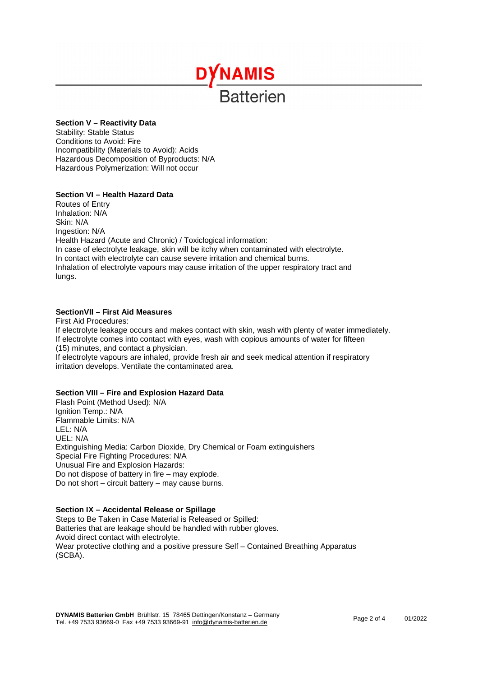# **DYNAMIS Ratterien**

# **Section V – Reactivity Data**

Stability: Stable Status Conditions to Avoid: Fire Incompatibility (Materials to Avoid): Acids Hazardous Decomposition of Byproducts: N/A Hazardous Polymerization: Will not occur

# **Section VI – Health Hazard Data**

Routes of Entry Inhalation: N/A Skin: N/A Ingestion: N/A Health Hazard (Acute and Chronic) / Toxiclogical information: In case of electrolyte leakage, skin will be itchy when contaminated with electrolyte. In contact with electrolyte can cause severe irritation and chemical burns. Inhalation of electrolyte vapours may cause irritation of the upper respiratory tract and lungs.

# **SectionVII – First Aid Measures**

First Aid Procedures: If electrolyte leakage occurs and makes contact with skin, wash with plenty of water immediately. If electrolyte comes into contact with eyes, wash with copious amounts of water for fifteen (15) minutes, and contact a physician. If electrolyte vapours are inhaled, provide fresh air and seek medical attention if respiratory irritation develops. Ventilate the contaminated area.

#### **Section VIII – Fire and Explosion Hazard Data**

Flash Point (Method Used): N/A Ignition Temp.: N/A Flammable Limits: N/A LEL: N/A UEL: N/A Extinguishing Media: Carbon Dioxide, Dry Chemical or Foam extinguishers Special Fire Fighting Procedures: N/A Unusual Fire and Explosion Hazards: Do not dispose of battery in fire – may explode. Do not short – circuit battery – may cause burns.

#### **Section IX – Accidental Release or Spillage**

Steps to Be Taken in Case Material is Released or Spilled: Batteries that are leakage should be handled with rubber gloves. Avoid direct contact with electrolyte. Wear protective clothing and a positive pressure Self – Contained Breathing Apparatus (SCBA).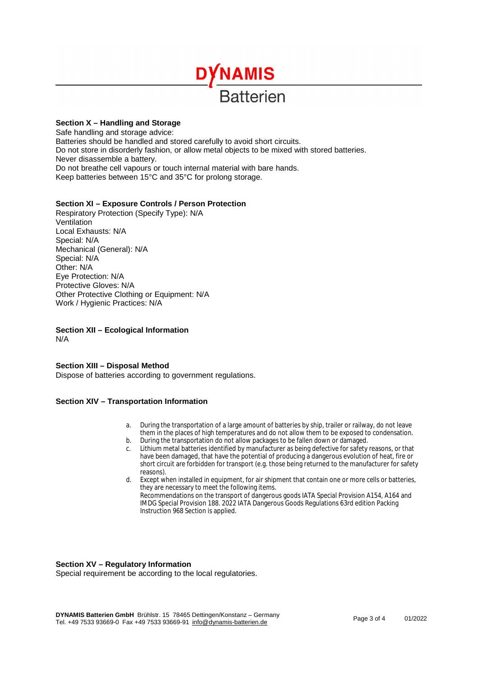

# **Section X – Handling and Storage**

Safe handling and storage advice: Batteries should be handled and stored carefully to avoid short circuits. Do not store in disorderly fashion, or allow metal objects to be mixed with stored batteries. Never disassemble a battery. Do not breathe cell vapours or touch internal material with bare hands. Keep batteries between 15°C and 35°C for prolong storage.

# **Section XI – Exposure Controls / Person Protection**

Respiratory Protection (Specify Type): N/A Ventilation Local Exhausts: N/A Special: N/A Mechanical (General): N/A Special: N/A Other: N/A Eye Protection: N/A Protective Gloves: N/A Other Protective Clothing or Equipment: N/A Work / Hygienic Practices: N/A

**Section XII – Ecological Information**  N/A

# **Section XIII – Disposal Method**

Dispose of batteries according to government regulations.

#### **Section XIV – Transportation Information**

- a. During the transportation of a large amount of batteries by ship, trailer or railway, do not leave them in the places of high temperatures and do not allow them to be exposed to condensation.
- b. During the transportation do not allow packages to be fallen down or damaged.
- c. Lithium metal batteries identified by manufacturer as being defective for safety reasons, or that have been damaged, that have the potential of producing a dangerous evolution of heat, fire or short circuit are forbidden for transport (e.g. those being returned to the manufacturer for safety reasons).
- d. Except when installed in equipment, for air shipment that contain one or more cells or batteries, they are necessary to meet the following items. Recommendations on the transport of dangerous goods IATA Special Provision A154, A164 and IMDG Special Provision 188. 2022 IATA Dangerous Goods Regulations 63rd edition Packing Instruction 968 Section is applied.

#### **Section XV – Regulatory Information**

Special requirement be according to the local regulatories.